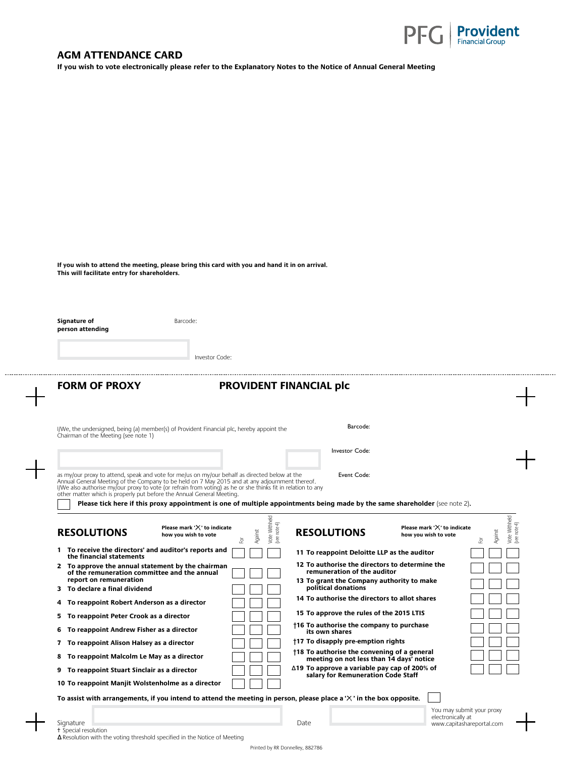

## **AGM ATTENDANCE CARD**

**If you wish to vote electronically please refer to the Explanatory Notes to the Notice of Annual General Meeting** 

**If you wish to attend the meeting, please bring this card with you and hand it in on arrival. This will facilitate entry for shareholders.**

**Signature of** Barcode: **person attending**

Investor Code:

**FORM OF PROXY PROVIDENT FINANCIAL plc** as my/our proxy to attend, speak and vote for me/us on my/our behalf as directed below at the Annual General Meeting of the Company to be held on 7 May 2015 and at any adjournment thereof. I/We also authorise my/our proxy to vote (or refrain from voting) as he or she thinks fit in relation to any other matter which is properly put before the Annual General Meeting. **Please tick here if this proxy appointment is one of multiple appointments being made by the same shareholder** (see note 2). **RESOLUTIONS** Please mark 'X' to indicate<br>how you wish to vote<br> $\frac{1}{\sqrt{5}}$  and  $\frac{1}{\sqrt{5}}$  and  $\frac{1}{\sqrt{5}}$  and  $\frac{1}{\sqrt{5}}$  and  $\frac{1}{\sqrt{5}}$  and  $\frac{1}{\sqrt{5}}$  **RESOLUTIONS** I/We, the undersigned, being (a) member(s) of Provident Financial plc, hereby appoint the Chairman of the Meeting (see note 1) Barcode: Investor Code: Event Code: For Against Vote Withheld (see note 4) **Please mark '** $\times$ ' to indicate **how you wish to vote Please mark ' ' to indicate how you wish to vote 1 To receive the directors' and auditor's reports and the financial statements 2 To approve the annual statement by the chairman of the remuneration committee and the annual report on remuneration 3 To declare a final dividend 11 To reappoint Deloitte LLP as the auditor 12 To authorise the directors to determine the remuneration of the auditor 13 To grant the Company authority to make political donations 14 To authorise the directors to allot shares**

**4 To reappoint Robert Anderson as a director 5 To reappoint Peter Crook as a director**

**6 To reappoint Andrew Fisher as a director**

**7 To reappoint Alison Halsey as a director**

**8 To reappoint Malcolm Le May as a director**

**9** To reappoint Stuart Sinclair as a director

| 10 To reappoint Manjit Wolstenholme as a director |  |
|---------------------------------------------------|--|

| director |  | ∆19 To approve a variable pay cap of 200% of<br>salary for Remuneration Code Staff |
|----------|--|------------------------------------------------------------------------------------|
|          |  |                                                                                    |

**15 To approve the rules of the 2015 LTIS †16 To authorise the company to purchase** 

 **†18 To authorise the convening of a general meeting on not less than 14 days' notice**

 **†17 To disapply pre-emption rights** 

**its own shares**

**To assist with arrangements, if you intend to attend the meeting in person, please place a ' ' in the box opposite.** 

You may submit your proxy electronically at www.capitashareportal.com

For Against Vote Withheld see note

Withheld /ote

Signature Date Communication of the Communication of the Communication of the Date † Special resolution

**∆**Resolution with the voting threshold specified in the Notice of Meeting